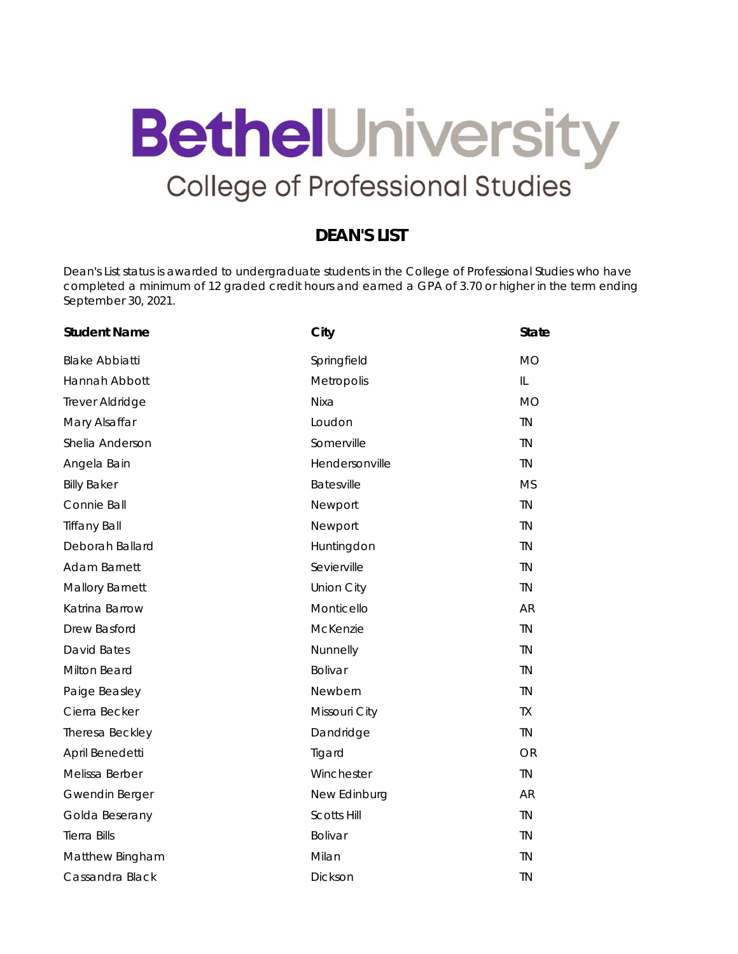## **BethelUniversity College of Professional Studies**

## **DEAN'S LIST**

Dean's List status is awarded to undergraduate students in the College of Professional Studies who have completed a minimum of 12 graded credit hours and earned a GPA of 3.70 or higher in the term ending September 30, 2021.

| <b>Student Name</b>    | City               | <b>State</b> |
|------------------------|--------------------|--------------|
| <b>Blake Abbiatti</b>  | Springfield        | <b>MO</b>    |
| Hannah Abbott          | Metropolis         | IL           |
| Trever Aldridge        | <b>Nixa</b>        | <b>MO</b>    |
| Mary Alsaffar          | Loudon             | <b>TN</b>    |
| Shelia Anderson        | Somerville         | TN           |
| Angela Bain            | Hendersonville     | <b>TN</b>    |
| <b>Billy Baker</b>     | Batesville         | <b>MS</b>    |
| Connie Ball            | Newport            | <b>TN</b>    |
| <b>Tiffany Ball</b>    | Newport            | TN           |
| Deborah Ballard        | Huntingdon         | <b>TN</b>    |
| Adam Barnett           | Sevierville        | <b>TN</b>    |
| <b>Mallory Barnett</b> | <b>Union City</b>  | <b>TN</b>    |
| Katrina Barrow         | Monticello         | AR           |
| Drew Basford           | McKenzie           | <b>TN</b>    |
| David Bates            | Nunnelly           | TN           |
| Milton Beard           | Bolivar            | TN           |
| Paige Beasley          | Newbern            | TN           |
| Cierra Becker          | Missouri City      | <b>TX</b>    |
| Theresa Beckley        | Dandridge          | <b>TN</b>    |
| April Benedetti        | Tigard             | OR           |
| Melissa Berber         | Winchester         | <b>TN</b>    |
| Gwendin Berger         | New Edinburg       | <b>AR</b>    |
| Golda Beserany         | <b>Scotts Hill</b> | TN           |
| <b>Tierra Bills</b>    | Bolivar            | <b>TN</b>    |
| Matthew Bingham        | Milan              | TN           |
| Cassandra Black        | Dickson            | <b>TN</b>    |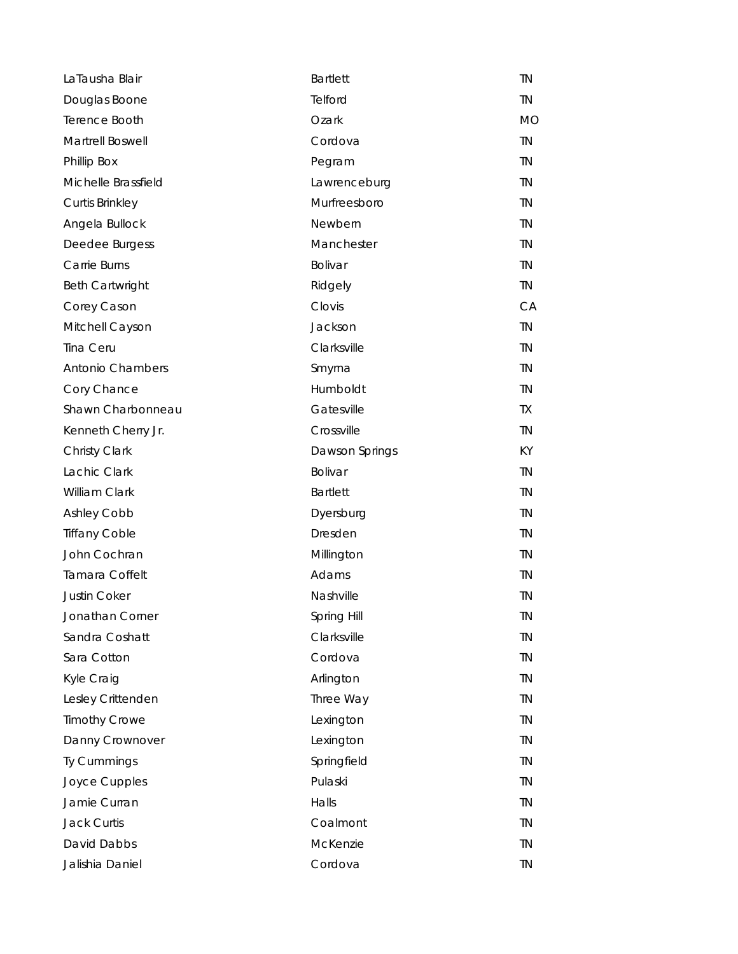| LaTausha Blair         | <b>Bartlett</b> | <b>TN</b> |
|------------------------|-----------------|-----------|
| Douglas Boone          | Telford         | TN.       |
| Terence Booth          | Ozark           | <b>MO</b> |
| Martrell Boswell       | Cordova         | <b>TN</b> |
| Phillip Box            | Pegram          | <b>TN</b> |
| Michelle Brassfield    | Lawrenceburg    | <b>TN</b> |
| <b>Curtis Brinkley</b> | Murfreesboro    | <b>TN</b> |
| Angela Bullock         | Newbern         | <b>TN</b> |
| Deedee Burgess         | Manchester      | <b>TN</b> |
| Carrie Burns           | Bolivar         | <b>TN</b> |
| <b>Beth Cartwright</b> | Ridgely         | TN.       |
| Corey Cason            | Clovis          | <b>CA</b> |
| Mitchell Cayson        | Jackson         | <b>TN</b> |
| Tina Ceru              | Clarksville     | <b>TN</b> |
| Antonio Chambers       | Smyrna          | <b>TN</b> |
| Cory Chance            | Humboldt        | <b>TN</b> |
| Shawn Charbonneau      | Gatesville      | TX.       |
| Kenneth Cherry Jr.     | Crossville      | <b>TN</b> |
| Christy Clark          | Dawson Springs  | <b>KY</b> |
| Lachic Clark           | Bolivar         | <b>TN</b> |
| William Clark          | <b>Bartlett</b> | <b>TN</b> |
| <b>Ashley Cobb</b>     | Dyersburg       | <b>TN</b> |
| <b>Tiffany Coble</b>   | Dresden         | <b>TN</b> |
| John Cochran           | Millington      | <b>TN</b> |
| Tamara Coffelt         | Adams           | <b>TN</b> |
| <b>Justin Coker</b>    | Nashville       | <b>TN</b> |
| Jonathan Corner        | Spring Hill     | TN        |
| Sandra Coshatt         | Clarksville     | <b>TN</b> |
| Sara Cotton            | Cordova         | TN        |
| Kyle Craig             | Arlington       | TN        |
| Lesley Crittenden      | Three Way       | <b>TN</b> |
| <b>Timothy Crowe</b>   | Lexington       | TN        |
| Danny Crownover        | Lexington       | <b>TN</b> |
| Ty Cummings            | Springfield     | TN        |
| Joyce Cupples          | Pulaski         | <b>TN</b> |
| Jamie Curran           | Halls           | TN        |
| <b>Jack Curtis</b>     | Coalmont        | TN        |
| David Dabbs            | McKenzie        | TN        |
| Jalishia Daniel        | Cordova         | TN        |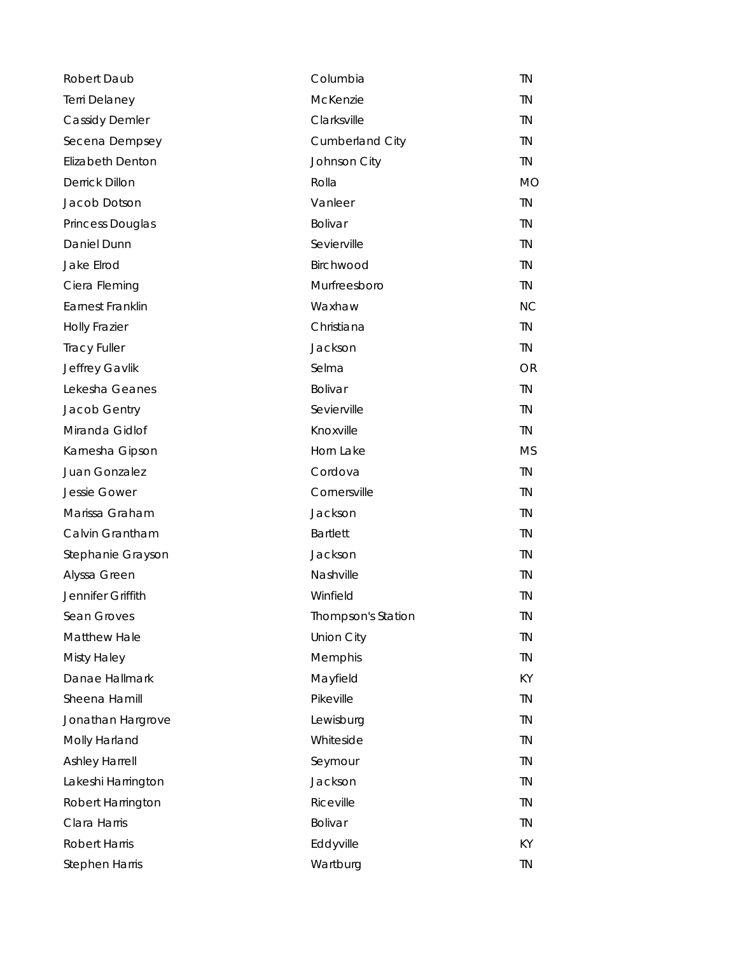| Robert Daub             | Columbia               | <b>TN</b> |
|-------------------------|------------------------|-----------|
| Terri Delaney           | McKenzie               | TN        |
| <b>Cassidy Demler</b>   | Clarksville            | <b>TN</b> |
| Secena Dempsey          | <b>Cumberland City</b> | <b>TN</b> |
| <b>Elizabeth Denton</b> | Johnson City           | <b>TN</b> |
| Derrick Dillon          | Rolla                  | <b>MO</b> |
| Jacob Dotson            | Vanleer                | <b>TN</b> |
| Princess Douglas        | Bolivar                | <b>TN</b> |
| Daniel Dunn             | Sevierville            | <b>TN</b> |
| Jake Elrod              | Birchwood              | <b>TN</b> |
| Ciera Fleming           | Murfreesboro           | TN.       |
| Earnest Franklin        | Waxhaw                 | <b>NC</b> |
| <b>Holly Frazier</b>    | Christiana             | <b>TN</b> |
| <b>Tracy Fuller</b>     | Jackson                | <b>TN</b> |
| Jeffrey Gavlik          | Selma                  | <b>OR</b> |
| Lekesha Geanes          | Bolivar                | <b>TN</b> |
| Jacob Gentry            | Sevierville            | <b>TN</b> |
| Miranda Gidlof          | Knoxville              | <b>TN</b> |
| Karnesha Gipson         | Horn Lake              | <b>MS</b> |
| Juan Gonzalez           | Cordova                | <b>TN</b> |
| <b>Jessie Gower</b>     | Cornersville           | <b>TN</b> |
| Marissa Graham          | Jackson                | <b>TN</b> |
| Calvin Grantham         | <b>Bartlett</b>        | <b>TN</b> |
| Stephanie Grayson       | Jackson                | <b>TN</b> |
| Alyssa Green            | Nashville              | <b>TN</b> |
| Jennifer Griffith       | Winfield               | <b>TN</b> |
| Sean Groves             | Thompson's Station     | TN        |
| Matthew Hale            | <b>Union City</b>      | <b>TN</b> |
| <b>Misty Haley</b>      | Memphis                | <b>TN</b> |
| Danae Hallmark          | Mayfield               | KY        |
| Sheena Hamill           | Pikeville              | <b>TN</b> |
| Jonathan Hargrove       | Lewisburg              | TN        |
| Molly Harland           | Whiteside              | <b>TN</b> |
| <b>Ashley Harrell</b>   | Seymour                | TN        |
| Lakeshi Harrington      | Jackson                | <b>TN</b> |
| Robert Harrington       | Riceville              | <b>TN</b> |
| Clara Harris            | Bolivar                | <b>TN</b> |
| <b>Robert Harris</b>    | Eddyville              | KY        |
| Stephen Harris          | Wartburg               | TN        |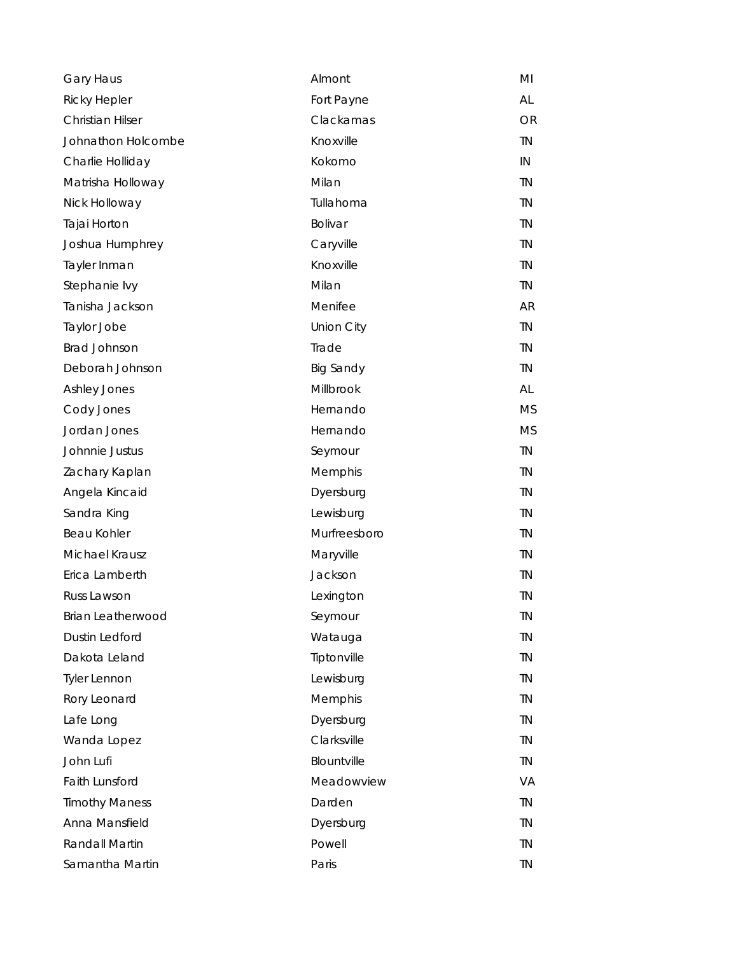| Gary Haus               | Almont            | MI        |
|-------------------------|-------------------|-----------|
| <b>Ricky Hepler</b>     | Fort Payne        | AL        |
| <b>Christian Hilser</b> | Clackamas         | <b>OR</b> |
| Johnathon Holcombe      | Knoxville         | <b>TN</b> |
| Charlie Holliday        | Kokomo            | IN        |
| Matrisha Holloway       | Milan             | <b>TN</b> |
| Nick Holloway           | Tullahoma         | <b>TN</b> |
| Tajai Horton            | Bolivar           | <b>TN</b> |
| Joshua Humphrey         | Caryville         | TN        |
| Tayler Inman            | Knoxville         | TN        |
| Stephanie lvy           | Milan             | <b>TN</b> |
| Tanisha Jackson         | Menifee           | <b>AR</b> |
| Taylor Jobe             | <b>Union City</b> | <b>TN</b> |
| <b>Brad Johnson</b>     | Trade             | <b>TN</b> |
| Deborah Johnson         | <b>Big Sandy</b>  | <b>TN</b> |
| Ashley Jones            | Millbrook         | AL        |
| Cody Jones              | Hernando          | <b>MS</b> |
| Jordan Jones            | Hernando          | <b>MS</b> |
| Johnnie Justus          | Seymour           | <b>TN</b> |
| Zachary Kaplan          | Memphis           | <b>TN</b> |
| Angela Kincaid          | Dyersburg         | <b>TN</b> |
| Sandra King             | Lewisburg         | <b>TN</b> |
| Beau Kohler             | Murfreesboro      | <b>TN</b> |
| Michael Krausz          | Maryville         | <b>TN</b> |
| Erica Lamberth          | Jackson           | <b>TN</b> |
| Russ Lawson             | Lexington         | <b>TN</b> |
| Brian Leatherwood       | Seymour           | <b>TN</b> |
| Dustin Ledford          | Watauga           | <b>TN</b> |
| Dakota Leland           | Tiptonville       | <b>TN</b> |
| <b>Tyler Lennon</b>     | Lewisburg         | <b>TN</b> |
| Rory Leonard            | Memphis           | <b>TN</b> |
| Lafe Long               | Dyersburg         | <b>TN</b> |
| Wanda Lopez             | Clarksville       | <b>TN</b> |
| John Lufi               | Blountville       | <b>TN</b> |
| Faith Lunsford          | Meadowview        | <b>VA</b> |
| <b>Timothy Maness</b>   | Darden            | <b>TN</b> |
| Anna Mansfield          | Dyersburg         | TN.       |
| Randall Martin          | Powell            | <b>TN</b> |
| Samantha Martin         | Paris             | ΤN        |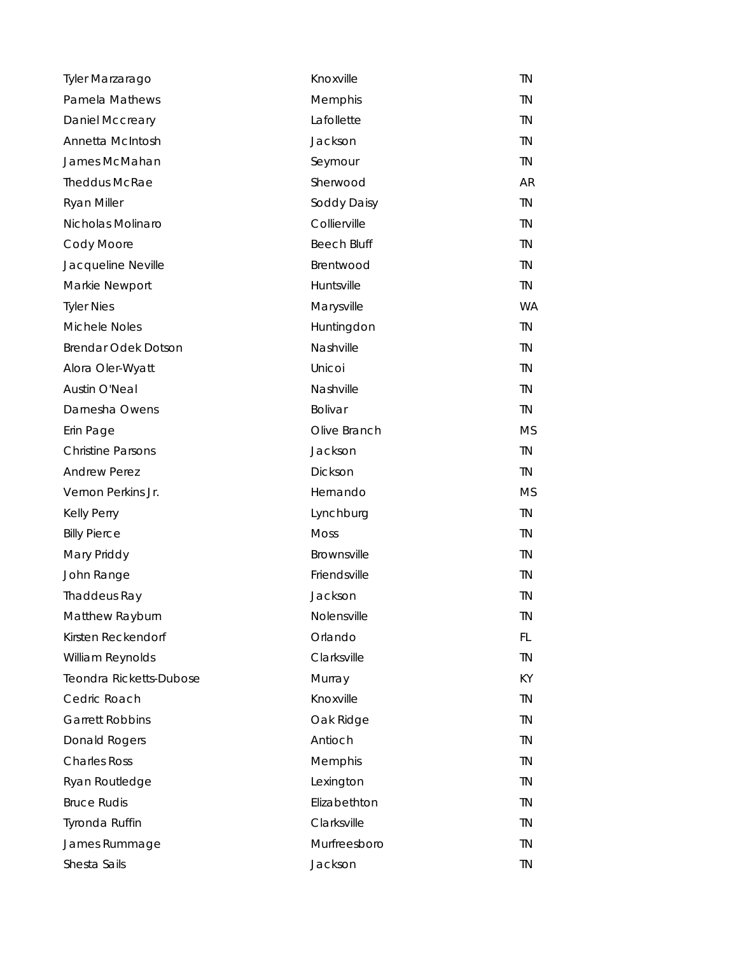| Tyler Marzarago          | Knoxville          | <b>TN</b> |
|--------------------------|--------------------|-----------|
| Pamela Mathews           | Memphis            | <b>TN</b> |
| Daniel Mccreary          | Lafollette         | <b>TN</b> |
| Annetta McIntosh         | Jackson            | <b>TN</b> |
| James McMahan            | Seymour            | <b>TN</b> |
| <b>Theddus McRae</b>     | Sherwood           | AR.       |
| <b>Ryan Miller</b>       | Soddy Daisy        | TN        |
| Nicholas Molinaro        | Collierville       | <b>TN</b> |
| Cody Moore               | <b>Beech Bluff</b> | <b>TN</b> |
| Jacqueline Neville       | Brentwood          | TN.       |
| Markie Newport           | Huntsville         | TN.       |
| <b>Tyler Nies</b>        | Marysville         | <b>WA</b> |
| Michele Noles            | Huntingdon         | TN.       |
| Brendar Odek Dotson      | Nashville          | <b>TN</b> |
| Alora Oler-Wyatt         | Unicoi             | TN.       |
| <b>Austin O'Neal</b>     | Nashville          | <b>TN</b> |
| Darnesha Owens           | <b>Bolivar</b>     | TN.       |
| Erin Page                | Olive Branch       | <b>MS</b> |
| <b>Christine Parsons</b> | Jackson            | <b>TN</b> |
| <b>Andrew Perez</b>      | Dickson            | TN.       |
| Vernon Perkins Jr.       | Hernando           | <b>MS</b> |
| <b>Kelly Perry</b>       | Lynchburg          | TN.       |
| <b>Billy Pierce</b>      | <b>Moss</b>        | <b>TN</b> |
| Mary Priddy              | Brownsville        | <b>TN</b> |
| John Range               | Friendsville       | <b>TN</b> |
| Thaddeus Ray             | Jackson            | <b>TN</b> |
| Matthew Rayburn          | Nolensville        | ΤN        |
| Kirsten Reckendorf       | Orlando            | FL.       |
| William Reynolds         | Clarksville        | <b>TN</b> |
| Teondra Ricketts-Dubose  | Murray             | KY.       |
| Cedric Roach             | Knoxville          | <b>TN</b> |
| <b>Garrett Robbins</b>   | Oak Ridge          | <b>TN</b> |
| Donald Rogers            | Antioch            | <b>TN</b> |
| <b>Charles Ross</b>      | Memphis            | <b>TN</b> |
| Ryan Routledge           | Lexington          | <b>TN</b> |
| <b>Bruce Rudis</b>       | Elizabethton       | <b>TN</b> |
| Tyronda Ruffin           | Clarksville        | TN.       |
| James Rummage            | Murfreesboro       | <b>TN</b> |
| Shesta Sails             | Jackson            | <b>TN</b> |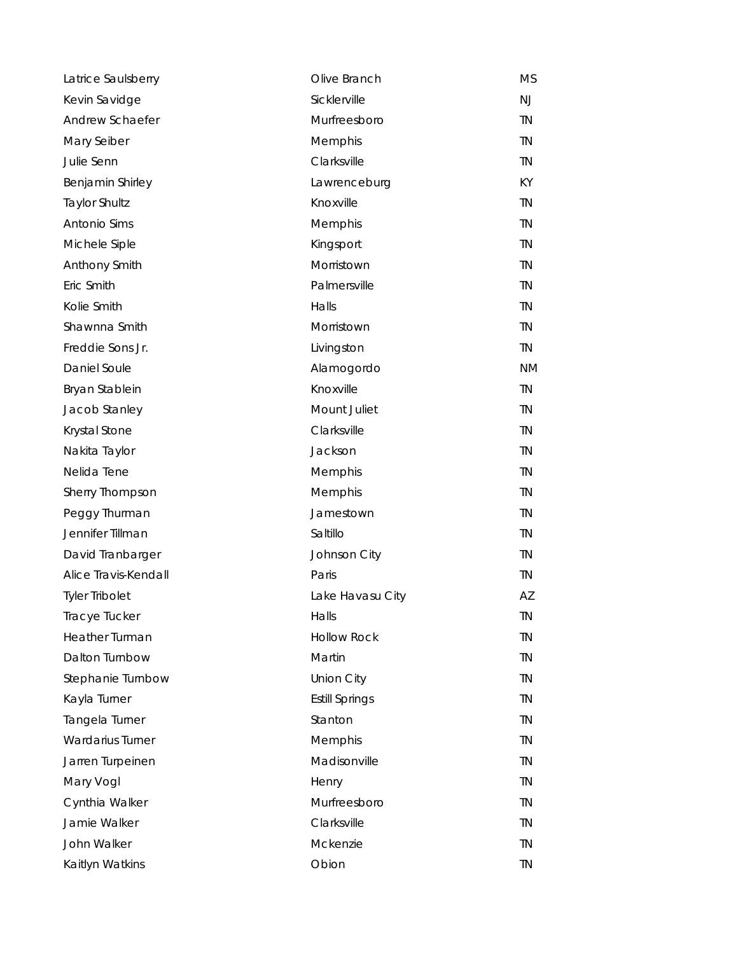| Latrice Saulsberry      | Olive Branch          | MS        |
|-------------------------|-----------------------|-----------|
| Kevin Savidge           | Sicklerville          | <b>NJ</b> |
| Andrew Schaefer         | Murfreesboro          | <b>TN</b> |
| Mary Seiber             | Memphis               | <b>TN</b> |
| Julie Senn              | Clarksville           | <b>TN</b> |
| Benjamin Shirley        | Lawrenceburg          | KY.       |
| <b>Taylor Shultz</b>    | Knoxville             | <b>TN</b> |
| Antonio Sims            | Memphis               | <b>TN</b> |
| Michele Siple           | Kingsport             | <b>TN</b> |
| Anthony Smith           | Morristown            | <b>TN</b> |
| Eric Smith              | Palmersville          | <b>TN</b> |
| Kolie Smith             | Halls                 | <b>TN</b> |
| Shawnna Smith           | Morristown            | <b>TN</b> |
| Freddie Sons Jr.        | Livingston            | <b>TN</b> |
| <b>Daniel Soule</b>     | Alamogordo            | <b>NM</b> |
| Bryan Stablein          | Knoxville             | <b>TN</b> |
| Jacob Stanley           | Mount Juliet          | <b>TN</b> |
| Krystal Stone           | Clarksville           | <b>TN</b> |
| Nakita Taylor           | Jackson               | <b>TN</b> |
| Nelida Tene             | Memphis               | <b>TN</b> |
| Sherry Thompson         | Memphis               | <b>TN</b> |
| Peggy Thurman           | Jamestown             | TN        |
| Jennifer Tillman        | Saltillo              | TN        |
| David Tranbarger        | Johnson City          | <b>TN</b> |
| Alice Travis-Kendall    | Paris                 | <b>TN</b> |
| <b>Tyler Tribolet</b>   | Lake Havasu City      | AZ        |
| Tracye Tucker           | Halls                 | ΤN        |
| Heather Turman          | <b>Hollow Rock</b>    | <b>TN</b> |
| Dalton Turnbow          | Martin                | <b>TN</b> |
| Stephanie Turnbow       | <b>Union City</b>     | <b>TN</b> |
| Kayla Turner            | <b>Estill Springs</b> | <b>TN</b> |
| Tangela Turner          | Stanton               | <b>TN</b> |
| <b>Wardarius Turner</b> | Memphis               | <b>TN</b> |
| Jarren Turpeinen        | Madisonville          | <b>TN</b> |
| Mary Vogl               | Henry                 | <b>TN</b> |
| Cynthia Walker          | Murfreesboro          | <b>TN</b> |
| Jamie Walker            | Clarksville           | <b>TN</b> |
| John Walker             | Mckenzie              | TN        |
| Kaitlyn Watkins         | Obion                 | <b>TN</b> |